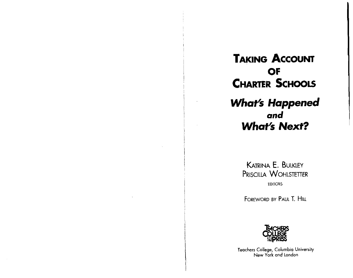**TAKING ACCOUNT OF CHARTER SCHOOLS What's Happened and What's Next?** 

> KATRINA E. BULKLEY PRISCILLA WOHLSTETTER EDITORS

FOREWORD BY PAUL T. HILL



Teachers College, Columbia University New York and London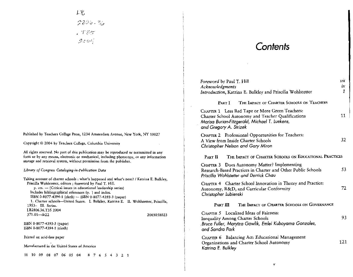$LE$  $2206.36$  $1785$ <br>2004

# **Contents**

 $\sim$ 

|                                                                                                                                                                                                                                                             | Foreword by Paul T. Hill<br>Acknowledgments<br>Introduction, Katrina E. Bulkley and Priscilla Wohlstetter                                                                        | $\nu$ ii<br>ix |
|-------------------------------------------------------------------------------------------------------------------------------------------------------------------------------------------------------------------------------------------------------------|----------------------------------------------------------------------------------------------------------------------------------------------------------------------------------|----------------|
|                                                                                                                                                                                                                                                             | THE IMPACT OF CHARTER SCHOOLS ON TEACHERS<br>PART I                                                                                                                              |                |
|                                                                                                                                                                                                                                                             | CHAPTER 1 Less Red Tape or More Green Teachers:<br>Charter School Autonomy and Teacher Qualifications<br>Marisa Burian-Fitzgerald, Michael T. Luekens,<br>and Gregory A. Strizek | 11             |
| Published by Teachers College Press, 1234 Amsterdam Avenue, New York, NY 10027<br>Copyright © 2004 by Teachers College, Columbia University                                                                                                                 | CHAPTER 2 Professional Opportunities for Teachers:<br>A View from Inside Charter Schools                                                                                         | 32             |
| All rights reserved. No part of this publication may be reproduced or transmitted in any<br>form or by any means, electronic or mechanical, including photocopy, or any information<br>storage and retrieval system, without permission from the publisher. | Christopher Nelson and Gary Miron<br>THE IMPACT OF CHARTER SCHOOLS ON EDUCATIONAL PRACTICES<br>PART II<br>CHAPTER 3 Does Autonomy Matter? Implementing                           | 53             |
| Library of Congress Cataloging-in-Publication Data<br>Taking account of charter schools ; what's happened and what's next? / Katrina E. Bulkley,                                                                                                            | Research-Based Practices in Charter and Other Public Schools<br>Priscilla Wohlstetter and Derrick Chau                                                                           |                |
| Priscilla Wohlstetter, editors ; foreword by Paul T. Hill.<br>$p. cm.$ - (Critical issues in educational leadership series)<br>Includes bibliographical references (p. ) and index.<br>ISBN 0-8077-4394-1 (cloth) - ISBN 0-8077-4393-3 (paper)              | CHAPTER 4 Charter School Innovation in Theory and Practice:<br>Autonomy, R&D, and Curricular Conformity<br>Christopher Lubienski                                                 | 72             |
| 1. Charter schools-United States. I. Bulkley, Katrina E. II. Wohlstetter, Priscilla,<br>1953- III. Series.                                                                                                                                                  | THE IMPACT OF CHARTER SCHOOLS ON GOVERNANCE<br>$PART$ $\mathbf{III}$                                                                                                             |                |
| LB2806.36.T35 2004<br>371.01-dc22<br>2003058023                                                                                                                                                                                                             | CHAPTER 5 Localized Ideas of Fairness:<br><b>Inequality Among Charter Schools</b>                                                                                                | 93             |
| ISBN 0-8077-4393-3 (paper)<br>ISBN 0-8077-4394-1 (cloth)                                                                                                                                                                                                    | Bruce Fuller, Marytza Gawlik, Emlei Kuboyama Gonzales,<br>and Sandra Park                                                                                                        |                |
| Printed on acid-free paper<br>Manufactured in the United States of America                                                                                                                                                                                  | CHAPTER 6 Balancing Act: Educational Management<br>Organizations and Charter School Autonomy                                                                                     | 121            |
|                                                                                                                                                                                                                                                             | Katrina E. Bulkley                                                                                                                                                               |                |
| 11 10 09 08 07 06 05 04 8 7 6 5 4 3 2 1                                                                                                                                                                                                                     |                                                                                                                                                                                  |                |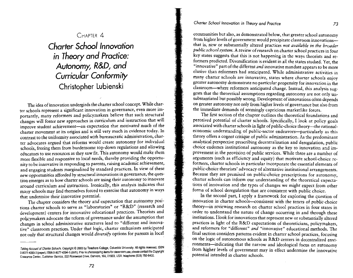# **CHAPTER 4 Charter School Innovation**  in Theory and Practice: **Autonomy,** R&D, **and Curricular Conformity Christopher Lubienski**

The idea of innovation undergirds the charter school concept. While charter schools represent a significant innovation in governance, even more importantly, many reformers and policymakers believe that such structural changes will foster new approaches in curriculum and instruction that will improve student achievement-an expectation that motivated much of the charter movement at its origins and is still very much in evidence today. In contrast to the uniformity associated with bureaucratic administration, charter advocates argued that reforms would create autonomy for individual schools, freeing them from burdensome top-down regulations and allowing educators to use resources as they saw fit. This autonomy would make them more flexible and responsive to local needs, thereby providing the opportunity to be innovative in responding to parents, raising academic achievement, and engaging students marginalized by standard practices. In view of these new opportunities afforded by structural innovations in governance, the question emerges as to how charter schools are using their autonomy to innovate around curriculum and instruction. Ironically, this analysis indicates that many schools may find themselves forced to exercise that autonomy in ways that undermine their innovative potential.

The chapter considers the theory and expectation that autonomy positions charter schools to serve as "laboratories" or "R&D" (research and development) centers for innovative educational practices. Theorists and policymakers advocate the teform of governance under the assumption that changes in school administrative structures lead to "different and imovgtive" classroom practices. Under that logic, charter enthusiasts anticipated not only that structural changes would *diversify* options for parents in local

# **Charter School Innovation in Theory and Practice**

communities but also, as demonstrated below, that greater school autonomy from higher levels of government would precipitate classroom imovationsthat is, new or substantially altered practices not available in the broader publicschoolsystem. **A** review of research on charter school practices in four key states suggests that this is not happening in the ways theorists and reformers predicted. Diversification is evident in all the states studied. Yet, the "innovative" part of the different *and* innovative mandate appears to be more elusive than reformers had anticipated. While administrative activities in many charter schools are innovative, states where charter schools enjoy greater autonomy demonstrate no particular propensity for innovation in the classroom-where reformers anticipated change. Instead, this analysis suggests that the theoretical assumptions regarding autonomy are not only unsubstantiated but possibly wrong. Development of innovations often depends on greater autonomy not only from higher levels of governance but also from the immediate demands of seemingly capricious marketlike forces.

The fist section of the chapter outlines the theoretical foundations and perceived potential of charter schools. Specifically, I look at policy goals associated with charter schools in light of public-choice theory--the rationaleconomic understanding of public-sector endeavors-particularly as this theory offers a cogent critique of public administration. As the predominant analytical perspective prescribing decentralization and deregulation, public choice endorses institutional autonomy as the key to innovation and improvement in the provision of public services. While there are a number of arguments (such as efficiency and equity) that motivate school-choice re formers, charter schools in particular incorporate the essential elements of public-choice theorists' advocacy of alternative institutional arrangements. Because they are premised on public-choice prescriptions for autonomy, charter schools can inform our understanding of the theoretical expectations of innovation and the types of changes we might expect from other . forms of school deregulation that are consistent with public choice.

In the second part, I apply a framework for exploring the question of innovation in charter schools--consistent with the tenets of public-choice theory-in reviewing research on charter school practices in four states in order to understand the nature of change occurring in and through these institutions. I look for innovations that represent new or substantially altered practices in light of the R&D expectations of theoreticians, policymakers, and reformers for "different" and "innovative" educational methods. The final section considers patterns evident in charter school practices, focusing on the logic of autonomous schools as R&D centers in decentralized environments-indicating that the narrow and ideological focus on autonomy from higher levels of government may in effect undermine the innovative potential intended in charter schools.

 $Taking Account of Charfer Schools. Copyright © 2003 by Teachers College, Columbia University. All rights reserved. ISBN$ 0-8077-4393-3 (paper), ISBN 0-8077-4394-1 (cloth). Prior to photocopying items for classroom use, please contact the Copyright Clearance Center, Customer Service, 222 Rosewood Drive, Danvers, MA, 01923, USA, telephone (508) 750-8400.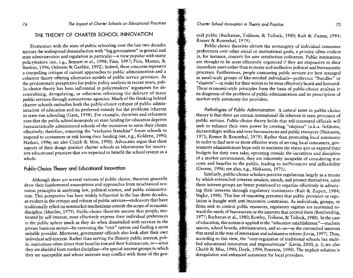# 74 **The Impact of Chorter Schools on Education01 Practices**

# THE THEORY OF CHARTER SCHOOL INNOVATION

Frustration with the state of public schooling over the last two decades mirrors the widespread dissatisfaction with "big government" in general and state administration and regulation in particular-a view popular with many policymakers (see, e.g., Bennett et al., 1998; Finn, 1997; Finn, Manno, & Bierlein, 1996; Osborne & Gaebler, 1992). Indeed, these concerns represent a compelling critique of current approaches to public administration and a coherent theory offering alternative models of public service provision. As the predominant perspective for public policy analysis in recent years, public-choice theory has been influential in policymakers' arguments for decentralizing, deregulating, or otherwise reforming the delivery of many public services through autonomous agencies. Much of the thinking behind charter schools embodies both the public-choice critique of public administration of education and its preferred remedy for the problems inherent in state-run schooling (Garn, 1998). For example, theorists and reformers note that the public school monopoly on state funding for education deprives bureaucratically administered schools of the incentives to serve their clients effectively; therefore, removing the "exclusive franchise" forces schools to respond to consumers or risk losing their funding (see, e.g., Kolderie, 1990; Nathan, 1996; see also Chubb & Moe, 1990). Advocates argue that these aspects of their design position charter schools as laboratories for innovative educational practices that are expected to benefit the school system as a whole.

## Public-Choice Theory and Educational Innovation

Although there are several variants of public choice, theorists generally draw their fundamental assumptions and approaches from neoclassical economic principles in analyzing law, political science, and public administration. This perspective has been widely influential in the last three decades, as evident in the critique and reform of public services--endeavors that have traditionally relied on nonmarket mechanisms outside the scope of economic discipline (Mueller, 1979). Public-choice theorists assume that people, motivated by self-interest, most effectively express their individual preferences in the public sphere much as they do when dissatisfied with services in the private business sector-by exercising the "exit" option and finding a more suitable provider. Moreover, government officials also look after their own individual self-interest. Rather than serving the illusory public interest, public institutions often direct their benefits toward their bureaucrats, or-since they are shielded from market discipline-the special-interest groups to which they are susceptible and whose interests may conflict with those of the gen-

# **Chorter School lnnovotion in Theory and Practice** 75

era1 public (Buchanan, Tollison, & Tullock, 1980; Kalt & Zupan, 1984; Romer & Rosenthal, 1979).

Public-choice theorists elevate the sovereignty of individual consumer preferences over other social or institutional goals, a priority often evident in, for instance, concern for user satisfaction indicators. Public institutions are thought to be most effectively organized if they are responsive to their immediate users rather than to messy and ineffective political and bureaucratic processes. Furthermore, people consuming public services are best arranged in small-scale groups of like-minded individuals-preference "bundles" or "clusters"-in order for their wishes to be most effectively heard and honored. These economic-style principles form the basis of public-choice analysis in its diagnosis of the problems of public administration and its prescription of market-style autonomy for providers.

**Pathologies of Public Administration.** A central tenet in public-choice theory is that there are certain institutional ills inherent in state provision of public services. Public-choice theory holds that self-interested officials will seek to enhance their own power by creating "empires" (a.k.a. fiefdoms, dictatdrships) within and over bureaucracies and public resources (Niskanen, 1971; Romer & Rosenthal, 1979). Rather than promoting local autonomy in order to find new or more effective ways of serving local consumers, government administrators hope only to maintain the status quo or expand their budgets for their own sake; operating outside the incentives and discipline of a market environment, they are inherently incapable of considering true costs and benefits to the public, leading to inefficiencies and inflexibility (Greene, 1996; see also, e.g., Niskanen, 1971).

Similarly, public-choice scholars perceive regulations largely as a means by which entrenched interests insulate, enrich, and protect themselves, since these interest groups are better positioned to organize effectively in advanc- ' ing their interests through regulatory institutions (Kalt & Zupan, 1984; Stigler, 1998). This line of reasoning presumes that public provision or regulation is fraught with anti-innovative constraints. As individuals, groups, or firms seek to control public resources, regulatory regimes are reoriented toward the needs of bureaucrats or the interests that control them (Borcherding, 1977; Buchanan et al., 1980; Rowley, Tollison, & Tullock, 1988). In the case of education, this notion is applied to the "education establishment"-teachers unions, school boards, administrators, and so on-as the entrenched interests that stand in the way of innovation and substantive reform (Levin, 1997). Thus, according to this view, the "over-regulation of traditional schools has stultified educational innovation and responsiveness" (Levin, 2000, p. **3;** see also ; Chubb & Moe, 1990; Doyle, 1994; Peterson, 1990). The implicit solution is deregulation and enhanced autonomy for local providers.

 $;$  ,

 $\frac{1}{2}$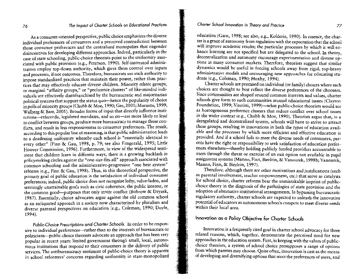As a consumer-oriented perspective, public choice emphasizes the diverse individual preferences of consumers and a perceived contradiction between those consumer preferences and the centralized monopolies that engender disincentives for developing different approaches. Indeed, particularly in the case of state schooling, public-choice theorists point to the uniformity associated with public provision (e.g., Peterson, 1990). Self-interested administrators employ top-down authority, which gives them control over inputs and processes, if not outcomes. Therefore, bureaucrats use such authority to impose standardized practices that maintain their power, rather than practices that may effectively educate diverse children. Minority ethnic groups, or marginal "affinity groups," or "preference clusters" of like-minded individuals are effectiveIy disenfranchised by the bureaucratic and majoritarian political systems that support the status quo-hence the popularity of choice in polls of minority groups (Chubb & Moe, 1990; Gee, 2001; Maranto, 1999; Walberg & Bast, 2001). Broader forms of input that directly influence institutions-referenda, legislated mandates, and so on-are more likely to lead to conflict between groups, produce more bureaucracy to manage those conflicts, and result in less responsiveness to consumer preferences. The result, according to this popular **lie** of reasoning, is that public administration leads to a deadening uniformity whereby each school is "essentially identical to every other" (Finn & Gau, 1998, p. 79; see also Fitzgerald, 1995; Little Hoover Commission, 1996). Furthermore, in view of the widespread sentiment that children learn in different ways, there is a growing backlash in policymaking circles against the "one-size-fits-all" approach associated with common schooling and the administrative-progressive "one best system" reforms (e.g., Finn & Cau, 1998). Thus, in this theoretical perspective, the primary goal of public education is the satisfaction of individual consumer preferences; indeed, public choice does not recognize lofty, value-laden, and seemingly unattainable goals such as civic coherence, the public interest, or the common good--purposes that only invite conflict (Bobrow & Dryzek, 1987). Essentially, choice advocates argue against the old common school as an antiquated approach in a society now characterized by pluralism and diverse parental perspectives on education (e.g., Coleman, 1990; Doyle, 1994).

76

PublicChoice Prescriptions and Charter Schools. In order to he responsive to individual preferences-rather than to the interests of bureaucrats or politicians—public-choice theorists advocate an approach that has been very popular in recent years: limited government through small, local, autonomous institutions that respond to their consumers in the delivery of public services. The antibureaucracy sentiment of public-choice theory is apparent in school reformers' concerns regarding uniformity in state-monopolized education (Garn, 1998; see also, e.g., Kolderie, 1990). In essence, the charter is a grant of autonomy from regulation with the expectation that the school will improve academic results; the particular processes by which it will enhance learning are not specified hut are delegated to the school. In theory, decentralization and autonomy encourage experimentation and diverse options in many consumer markets. Therefore, theorists suggest that similar dynamics would be useful in forcing schools away from rigid, top-heavy administrative models and encouraging new approaches for educating students (e.g., Coleman, 1990; Hoxby, 1994).

Charter schools are premised onindividual (or family) choices where such choices are thought to best reflect the diverse preferences of the choosers. Since communities are shaped around common interests and values, charter schools give form to such communities around educational issues (Clayton Foundation, 1999; Viteritti, 1999)-what public-choice theorists would see as homogeneous preference clusters that reduce conflict over school issues in the wider context ie.g., Chubb & Moe, 1990). Theorists argue that, in a deregulated and decentralized system, schools will have to strive to attract these groups, resulting in innovations in both the types of education available and the processes by which more efficient and effective education is provided. And if a school fails to meet the diverse needs of consumers, parents have the right or responsibility to seek satisfaction of education preferences elsewhere—thereby holding publicly funded providers accountable to users through the threat or exercise of an exit option not available in pupil assignment systems (Manno, Finn, Bierlein, &L Vanourek, 1998b; Vanourck, Manno, Finn, & Bierlein, 1997).

Therefore, although there are other motivations and justifications (such as pareutal involvcment, teacher empowerment, etc.) that serve as catalysts for school choice, charter reforms bear the unmistakable imprint of publicchoice theory in the diagnosis of the pathologies of state provision and the adoption of alternative institutional arrangements. In bypassing bureaucratic ; regulatory authority, charter schools are expected to unleash the innovative potential of educators as autonomous schools compete to meet diverse needs <sup>8</sup>; within their local area.

# , **Innovation** as **a Policy Objective for Charter** Schools

:!

,

Innovation is a frequently cited goal in charter school advocacy for three related reasons, which, together, demonstrate the perceived need for new approaches in the education system. First, in keeping with the values of publicchoice theorists, a system of school choice presupposes a range of options from which parents may choose. Quite often, innovation is cast as the means of developing and diversifyingoptions that meet the preferences of users, and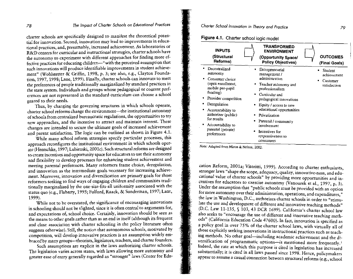## **78** The Impact of Charter Schools on Educational Practicer

charter schools are specifically designed to manifest the theoretical potential for innovation. Second, innovation may lead to improvements in educational practices, and, presumably, increased achievement. **As** laboratories or R&D centers for curricular and instructional strategies, charter schools have the autonomy to experiment with different approaches for finding more effective practices for educating children-"with the perceived assumption that such innovations will produce identifiable improvements in student achievement" (Wohlstetter & Griffin, 1998, p. **3;** see also, e.g., Clayton Foundation, 1997, 1998; Lane, 1999). Finally, charter schools can innovate to meet the preferences of people traditionally marginalized by standard practices in the state system. Individuals and groups whose pedagogical or content preferences are not represented in the standard curriculum can choose a school geared to their needs.

Thus, by changing the governing structures in which schools operate, charter school reforms change the environment-the institutional autonomy of schools from centralized bureaucratic regulations, the opportunities to try new approaches, and the incentive to attract and maintain interest. These changes are intended to secure the ultimate goals of increased achievement and parent satisfaction. The logic can be outlined as shown in Figure 4.1.

While many school reform strategies specify particular processes, this approach reconfigures the institutional environment in which schools operate (Hentschke, 1997; Lubienski, 2001c). Such structural reforms are designed to create incentives and opportunity space for educators to use their autonomy and flexibility to develop processes for enhancing student achievement and meeting parental preferences. Many reformers frame choice, deregulation, and innovation as the intermediate goals necessary for increasing achievement. Moreover, innovation and diversification are primary goals for those reformers seeking to find ways of engaging children and communities traditionally marginalized by the one-size-fits-all uniformity associated with the status quo (e.g., Flaherty, 1995; Fulford, Raack, & Sunderman, 1997; Lane, 1999).

While not to be overstated, the significance of encouraging innovations in schooling should not be slighted, since it is often central to arguments for, and expectations of, school choice. Certainly, innovation should be seen as the means to other goals rather than as an end in itself (although its frequent and close association with charter schooling in the policy literature often suggests otherwise). Still, the notion that autonomous schools, motivated by competition, will develop innovative practices is an assumption widely embraced by many groups-theorists, legislators, teachers, and charter founders.

Such assumptions are explicit in the laws authorizing charter schools. The legislation varies across states, with laws allowing more autonomy and greater ease of entry generally regarded as "stronger" laws (Center for Edu-

# Charter School lnnovarion in Theory and Practice **<sup>79</sup>**

**TRANSFORMED INPUTS ENVIRONMENT (Structural )**<br> **(Structural )**<br> **(Opportunity Space/**  $\longrightarrow$  OUTCOMES **Reforms)**<br>
Policy Objectives) *(Final Gools)* **Reforms) Policy** Objectives) **(Final Goals)**  Policy Objectives) (Final Goals)<br>Decentralized • Entrepreneurial • Student autonomy management / achievement • Consumer choice administration • Customer (open enrollment, • Teacher autonomy and satisfaction mobile per-pupil professionalism<br>funding)  $\frac{1}{2}$  curricular and<br>Provider competition  $\frac{1}{2}$  redagogical impedagogical innovations Deregulation • Equity *I* access to new Accountability to educational opportunities authorizer (public) • Privatization<br>for results for results<br>
Adcountability to involvement<br>
parental (private) parental (private) **Incentives for preferences** responsiveness to consumers

*Note:* Adapted from Miron & Nelson, 2002.

cation Reform, 2001a; Viteritti, 1999). According to charter enthusiasts, stronger laws "shape the scope, adequacy, quality, innovative-ness, and educational value of charter schools" by providing more opportunities and incentives for educators to exercise autonomy (Vanourek et al., 1997, p. **3).**  Under the assumption that "public schools must be provided with an option for more autonomy over their administration, operations, and expenditures," the law in Washington, D.C., authorizes charter schools in order to "stimulate the use and development of different and innovative teaching methods" (D.C. Law 11-135, S 103, 43 DCR 1699). California's charter school law also seeks to "encourage the use of different and innovative teaching methods" (California Education Code 47600). In fact, innovation is specified as a policy goal in over 75% of the charter school laws, with virtually all of those explicitly seeking innovations in instructional practices such as teaching methods. No other goal-including academic achievement and the diversification of programmatic options-is mentioned more frequently.<sup>1</sup> Indeed, the rate at which this purpose is cited in legislation has increased substantially; it is cited in all laws passed since 1998. Hence, policymakers appear to assume a causal connection between structural reforms (e.g., school

**Figure 4.1.** Charter school logic **model** 

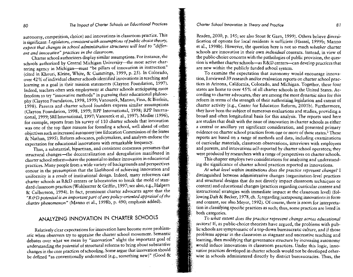autonomy, competition, choice) and innovations in classroom practice. This is significant: Legislators, consistent with assumptions of public choice theory, expect that changes in school administrative structures will lead to "different and innovative" practices in the classroom.

Charter school authorizers display similar assumptions. For instance, the schools authorized by Central Michigan University-the most active chartering agency in Michigan-must "be pillars of innovation in instruction" (cited in Khouri, Kleine, White, & Cummings, 1999, p. 25). In Colorado, over 42% of individual charter schools identified innovations in teaching and learning as a goal in their mission statements (Clayton Foundation, 1997). Indeed, teachers often seek employment at charter schools anticipating more freedom to try "innovative methods" in pursuing their educational philosophy (Clayton Foundation, 1998,1999; Vanourek, Manno, Finn, & Bierlein, 1998). Parents and charter school founders express similar assumptions (Clayton Foundation, 1998, 1999; RPP International, 1998; RFP International, 1999; SRI International, 1997; Vanourek et al., 1997). Medler (1996), for example, reports from his survey of 110 charter schools that innovation was one of the top three reasons for founding a school, well ahead of other objectives such as increased autonomy (see Education Commission of the States &Nathan, 1995). Reform advocates, policymakers, and analysts endorse the expectation for educational innovations with remarkable frequency.

Thus, a substantial, bipartisan, and consistent consensus presumes that structural changes-the decentralization and deregulation manifested in charter school reform-have the potential to induce innovation in educational practices. Many people from a wide variety of backgrounds and perspectives concur in the presumption that the likelihood of achieving innovation and uniformity is a result of institutional design. Indeed, many reformers cast charter schools as R&D centers or laboratories to break the mold of standard classroom practices (Wohlstetter & Griffin, 1997; see also, e.g., Halpern & Culbertson, 1994). In fact, prominent charter advocates agree that the *"R&D* potential is an importantpart ofany policy-oriented appraisal of the charter phenomenon" (Manno et al., 1998b, p. 490; emphasis added).

# ANALYZING INNOVATION IN CHARTER SCHOOLS

Relatively clear expectations for innovation have become more problematic when observers try to appraise the charter school movement. Semantic debates over what we mean by "innovation" slight the important goal of understanding the potential of structural reforms to bring about substantive changes in the core practices of schooling. Some argue that innovation should be defined "as conventionally understood (e.g., something new)" (Good &

Braden, 2000, p. 145; see also Stout & Garn, 1999). Others believe diversification of options for local residents is sufficient (Hassei, 1999b; Manno **et** al., 1998b). However, the question here is not so much whether charter schools are innovative in their own *individual* contexts. Instead, in view of the public-choice concerns with the pathologies of public provision, the question is whether charter schools-as R&D centers-can develop practices that are new within the publicly funded school system.

To examine the expectation that autonomy would encourage innovation, I reviewed 39 research andlor evaluation reports on charter school practices in Arizona, California, Colorado, and Michigan. Together, these four states are home to over 45% of all charter schools in the United States. According to charter advocates, they are among the most dynamic sites for this reform in terms of the strength of their authorizing legislation and extent of charter activity (e.g., Center for Education Reform, 2001b). Furthermore, they have been the subject of numerous evaluations and studies, providing a broad and often longitudinal basis for this analysis. The reports used here are studies that dealt with the issue of innovation in charter schools as either a central or ancillary yet significant consideration, and presented primary evidence on charter school practices from one or more of these states.<sup>2</sup> These reports are based on a range of methods and data, including examinations of curricular materials, classroom observations, interviews with employees and parents, and innovations self-reported by charter school operators; they were produced by researchers with a range of perspectives on charter schools.

This chapter employs two considerations for analyzing and understanding the significance of charter school practices reported as innovations.

At what level within institutions does the practice represent change? I distinguished between administrative changes (organization-level practices and structural designs that do not directly impact classroom techniques or content) and educational changes (practices regarding curricular content and instructional strategies with immediate impact at the classroom level) (following Daft & Becker, 1978, ch. 5; regarding juxtaposing innovations in form and content, see also Meyer, 1992). Of course, there is room for interpretation in classifying specific practices as such; thus, some practices are listed in both categories.

To what extent does the practice represent change across educational sectors? If, as public-choice theorists have argued, the problems with public schools are symptomatic of a top-down bureaucratic culture, and if those problems appear in the classroom as stagnant and uncreative teaching and learning, then modifying that governance structure by increasing autonomy would induce innovations in classroom practices. Under this logic, innovative practices developed in charter schools would not be developed otherwise in schools administered directly by district bureaucracies. Thus, the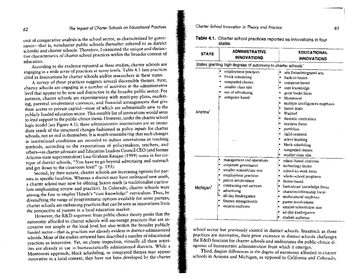# **<sup>82</sup>**rhe Impact of Charter Schools on Educafianal Practices Charter School Innovation in rheory proc,jce **<sup>83</sup>**

unit of comparative analysis is the school sector, as characterized by governance-that is, noncharter public schools (hereafter referred to as district schools) and charter schools. Therefore, I examined the unique and distinc-The characteristics of charter school practices within the broader context of **ADMINISTRATIVE EDUCATIONAL EDUCATIONAL EDUCATIONAL EDUCATIONAL EDUCATIONAL** 

However, the R&D argument from public-choice theory posits that the autonomy afforded to charter schools will encourage practices that are innovative not simply at the local level but also within the broader publicly funded sector—that is, practices not already evident in district-administered funded sector--that is, practices not already evident in district-administered<br>schools. Most of the studies reviewed here described a number of educational sector but previously existed in district schools. Inasmuch as the ties are already in use in bureaucratically administered districts. While a agnosis of bureaucratic administration from which it emerges,<br>A consider the strategy of autonomy afforded to charter Montessori approach, block scheduling, or integrated themes may appear Third, despite differences in the degrec of autonomy afforded to charter Third, despite differences in the degree of autonomy afforded to charter innovative in a local context, they have not been developed by the charter

| able 4.1. Charter school practices reported as innovations in four |  |
|--------------------------------------------------------------------|--|
| states                                                             |  |

| $\frac{1}{2}$                                                                                                                                                                                                                                                                                                                                                                                                                                                                                                                                                                                                                                                                                                                                                                                                                                                                                                                                                                                                                                                                                                                                                                                                                                                                                                                                                                                                                                                                                                                                                                                                                                                                                                                                                                                                                                                                                                                                                                                                                                                                                                                                                                                                            |                       |                                                                                                                                                                                                                                             |                                                                                                                                                                                                                                                                                                                                              |  |
|--------------------------------------------------------------------------------------------------------------------------------------------------------------------------------------------------------------------------------------------------------------------------------------------------------------------------------------------------------------------------------------------------------------------------------------------------------------------------------------------------------------------------------------------------------------------------------------------------------------------------------------------------------------------------------------------------------------------------------------------------------------------------------------------------------------------------------------------------------------------------------------------------------------------------------------------------------------------------------------------------------------------------------------------------------------------------------------------------------------------------------------------------------------------------------------------------------------------------------------------------------------------------------------------------------------------------------------------------------------------------------------------------------------------------------------------------------------------------------------------------------------------------------------------------------------------------------------------------------------------------------------------------------------------------------------------------------------------------------------------------------------------------------------------------------------------------------------------------------------------------------------------------------------------------------------------------------------------------------------------------------------------------------------------------------------------------------------------------------------------------------------------------------------------------------------------------------------------------|-----------------------|---------------------------------------------------------------------------------------------------------------------------------------------------------------------------------------------------------------------------------------------|----------------------------------------------------------------------------------------------------------------------------------------------------------------------------------------------------------------------------------------------------------------------------------------------------------------------------------------------|--|
| chools) and charter schools. Therefore, I examined the unique and distinc-<br>ive characteristics of charter school practices within the broader context of                                                                                                                                                                                                                                                                                                                                                                                                                                                                                                                                                                                                                                                                                                                                                                                                                                                                                                                                                                                                                                                                                                                                                                                                                                                                                                                                                                                                                                                                                                                                                                                                                                                                                                                                                                                                                                                                                                                                                                                                                                                              | <b>STATE</b>          | <b>ADMINISTRATIVE</b><br><b>INNOVATIONS</b>                                                                                                                                                                                                 | <b>EDUCATIONAL</b><br><b>INNOVATIONS</b>                                                                                                                                                                                                                                                                                                     |  |
| ducation.<br>According to the evidence reported in these studies, charter schools are                                                                                                                                                                                                                                                                                                                                                                                                                                                                                                                                                                                                                                                                                                                                                                                                                                                                                                                                                                                                                                                                                                                                                                                                                                                                                                                                                                                                                                                                                                                                                                                                                                                                                                                                                                                                                                                                                                                                                                                                                                                                                                                                    |                       | States granting high degrees of autonomy to charter schools'                                                                                                                                                                                |                                                                                                                                                                                                                                                                                                                                              |  |
| ngaging in a wide array of practices at many levels. Table 4.1 lists practices<br>ited as innovations by charter schools and/or researchers in these states.<br>A survey of these practices suggests several discernible themes. First,<br>charter schools are engaging in a number of activities at the administrative<br>evel that appear to be new and distinctive in the broader public sector. For<br>instance, charter schools are experimenting with merit-pay plans, market-<br>ing, parental involvement contracts, and financial arrangements that give<br>them access to private capital—most of which are substantially new to the<br>publicly funded education sector. This notable list of innovations would seem<br>to lend support to the public-choice thesis. However, under the charter school<br>logic model (see Figure 4.1), these administrative innovations are an imme-<br>diate result of the structural changes fashioned as policy <i>inputs</i> for charter<br>schools, not an end in themselves. It is worth remembering that such changes<br>in institutional conditions are intended to induce innovations in teaching<br>methods, according to the expectations of policymakers, teachers, and<br>others-as charter advocate and Education Leaders Council CEO (and former<br>Arizona state superintendent) Lisa Graham Keegan (1999) notes in her cri-<br>tique of district schools, "You have to go beyond advertising and outreach<br>and get down to the classroom level" (p. 193).<br>Second, by their nature, charter schools are increasing options for par-<br>ents in specific localities. Whereas a district may have embraced new math,<br>a charter school may now be offering Saxon math (a traditionalist curricu-<br>lum emphasizing review and practice). In Colorado, charter schools were<br>among the first to employ Hirsch's "core knowledge" curriculum. Thus, by<br>diversifying the range of programmatic options available for some parents,<br>charter schools are embracing practices that can be seen as innovations from<br>the perspective of parents in a local education market.<br>However, the R&D argument from public-choice theory posits that the | Arizona <sup>2</sup>  | employment practices<br>block scheduling<br>nongraded classes<br>smaller class size<br>use of advertising<br>computer-based                                                                                                                 | • arts focus/integrated arts<br>back-to-basics<br>computer-based<br>core knowledge<br>great books focus<br>Montessori<br>multiple intelligences emphasis<br>Saxon math<br>Waldorf<br>thematic curriculum<br>business focus<br>portfolios<br>child-centered<br>active learning<br>block scheduling<br>nongraded classes<br>smaller class size |  |
|                                                                                                                                                                                                                                                                                                                                                                                                                                                                                                                                                                                                                                                                                                                                                                                                                                                                                                                                                                                                                                                                                                                                                                                                                                                                                                                                                                                                                                                                                                                                                                                                                                                                                                                                                                                                                                                                                                                                                                                                                                                                                                                                                                                                                          | Michigan <sup>3</sup> | management and operations<br>corporate governance<br>smaller school/class size<br>employment practices<br>parent involvement<br>contracting-out services<br>advertising<br>all-day kindergarten<br>finance arrangements<br>student uniforms | ethnic-based curricula<br>technology theme<br>school-to-work focus<br>whole-school programs<br>theme-based<br>basics/core knowledge focus<br>character/citizenship focus<br>multicultural emphasis<br>parent involvement<br>smaller school/class size<br>all-day kindergarten<br>student uniforms                                            |  |

schools. Most of the studies reviewed here described a number of educational practices are innovative, their prior existence in district schools challenges practices as innovative. Yet, on closer inspection, virtually all the R&D function for charter schools and undermines the public-choice di-<br>agnosis of bureaucratic administration from which it emerges.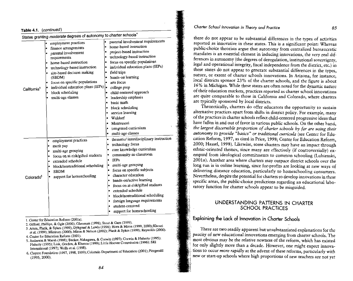### **Table** 4.1. (continued)

|                         | States granting <i>moderate</i> degrees of autonomy to cnarter schools                                                                                                                                                                                                                                     |                                                                                                                                                                                                                                                                                                                                                                                                                                                                                                                                                                       |
|-------------------------|------------------------------------------------------------------------------------------------------------------------------------------------------------------------------------------------------------------------------------------------------------------------------------------------------------|-----------------------------------------------------------------------------------------------------------------------------------------------------------------------------------------------------------------------------------------------------------------------------------------------------------------------------------------------------------------------------------------------------------------------------------------------------------------------------------------------------------------------------------------------------------------------|
| California <sup>®</sup> | employment practices<br>finance arrangements<br>parental involvement<br>requirements<br>home-based instruction<br>technology-based instruction<br>۰<br>site-based decision making<br>(SBDM)<br>focus on specific populations<br>individual education plans (IEPs)<br>block scheduling<br>multi-age elasses | parental involvement requirements<br>home-based instruction<br>٠<br>project-based instruction<br>٠<br>technology-based instruction<br>$\bullet$<br>focus on specific populations<br>$\bullet$<br>individual education plans (IEPs)<br>۱.<br>field trips<br>٠<br>hands-on learning<br>۰<br>arts focus<br>٠<br>college prep<br>٠<br>child-eentered approach<br>٠<br>leadership emphasis<br>$\bullet$<br>basic math<br>۰<br>block scheduling<br>$\bullet$<br>service learning<br>Waldorf<br>۰<br>Montessori<br>٠<br>integrated curriculum<br>٠<br>multi-age classes<br>۰ |
| Colorado®               | employment practices<br>۰<br>merit pay<br>۰<br>multi-age grouping<br>۰<br>focus on at-risk/gifted students<br>٠<br>extended schedule<br>۰<br>block/nontraditional scheduling<br>٠<br><b>SBDM</b><br>۰<br>support for homeschooling<br>۰                                                                    | thematic/interdisciplinary instruction<br>٠<br>technology focus<br>۰<br>core knowledge curriculum<br>٠<br>community-as-classroom<br>٠<br><b>IEPs</b><br>٠<br>multi-age grouping<br>٠<br>focus on specific subjects<br>character education<br>٠<br>hands-on/active learning<br>focus on at-risk/gifted students<br>٠<br>extended schedule<br>٠<br>block/nontraditional scheduling<br>٠<br>foreign language requirements<br>٠<br>student-centered<br>٠<br>support for homeschooling                                                                                     |

1. Center for Education Reform (2001a).

2. Gifford, Phillips, & Ogle (2000); Glassman (1998); Stout & Gam (1999).

**3.** hen,Plank, & **Sykes (1999); Dpkikgraaf** & **Lewis (1998); Horn &Miron (1999,2000);Khoun**  et al. (1999): Mintrom (2000); Miron & Nelson (2002); Plank & Sykes (1999); Reynolds (2000). 4. Center for Education Reform **(2001).** 

- **5. Anderson** & **Marsh (1998);** Beeker, **Nakagawa.** & Cowin **(1997): Corwin** & **Flaherty (1995);**
- Flaheny **(1995);** Link, **Gordon,** & **Khanna (1999):** Liule **Hoover Cummission (1996);** SRI **lnternaitonal(l997);** Wells et **al. (1998).**
- 6. Clayton Foundation (1997, 1998, 1999); Colorado Department of Education (2001); Fitzgerald (1995,2000).

# Charter School Innovation in Theory and Practice **85**

there do not appear to be substantial differences in the types of activities reported as innovative in these states. This is a significant point: Whereas public-choice theorists argue that autonomy from centralized bureaucratic mandates is an essential element in inducing innovations, the very real differences in autonomy (the degrees of deregulation, institutional sovereignty, legal and operational integrity, fiscal independence from the district, etc.) in these states do not appear to generate substantial differences in the types, nature, or extent of charter schools innovations. In Arizona, for instance, local districts sponsor 23% of the charter schools, and the figure is about 16% in Michigan. While these states are often noted for the dynamic nature of their education markets, practices reported as charter school innovations are quite comparable to those in California and Colorado, where charters are typically sponsored by local districts.

Theoretically, charters do offer educators the opportunity to sustain alternative practices apart from shifts in district policy. For example, many of the practices in charter schools reflect child-centered progressive ideas that have fallen in and out of favor in various public schools. On the other hand, the-largest discernible proportion of charter schools by far are using their autonomy to provide "basics" or traditional curricula (see Center for Education Reform, 1997, as cited in Price, 1998; Center for Education Reform, 2000; Hassel, 1998). Likewise, some charters may have an impact through ethnic-oriented themes, since many are effectively (if controversially) ex-<br>empted from ideological commitments to common schooling (Lubienski,  $2001a$ ). Another area where charters may outpace district schools over the long tun is in online learning, since for-profits are looking at new ways of delivering distance education, particularly to homeschooling consumers. : Nevertheless, despite the potential for charters to develop innovations in these specific areas, the public-choice predictions regarding an educational laboratory function for charter schools appear to be misguided.

# ;I **UNDERSTANDING PATTERNS IN CHARTER SCHOOL PRACTICES**

# :' **Explaining the Lack of Innovation in Charter Schools**

' ! č.

;,,

There are two readily apparent but unsubstantiated explanations for the paucity of new educational innovations emerging from charter schools. The most obvious may be the relative newness of the reform, which has existed for only slightly more than a decade. However, one might expect innovations to occur *more rapidly* at the advent of these reforms, particularly with new or start-up schools where high proportions of new teachers are not yet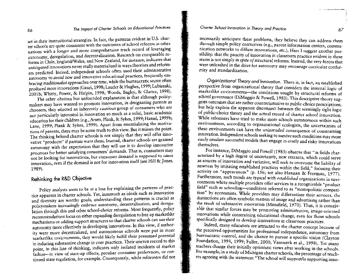# Charter School lnnovotion in Theory and Proctice <sup>87</sup>

set in their instructional strategies. In fact, the patterns evident in **U.S.** charter schools are quite consistent with the outcomes of school reforms in other nations with a longer and more comprehensive track record of leveraging autonomy, deregulation, and decentralization. Research on comparable reforms in Chile, Bngland/Wales, and New Zealand, for instance, indicates that anticipated innovations never really materialized in ways theorists and reformers predicted. Indeed, independent schools often used their administrative autonomy to avoid new and innovative educational practices, frequently embracing traditionalist approaches over time, while the bureaucratic sector often produced more innovations (Gauri, 1998; Lauder & Hughes, 1999; Lubienski, 2001b; Whitty, Power, & Halpin, 1998; Woods, Bagley, & Glatter, 1998).

The other obvious but unfounded explanation is that although policymakers may have wanted to promote innovation, in designating parents as choosers, they selected an inherently cautious group of consumers who are not particularly interested in innovation so much as a solid, basic academic education for their children (e.g., Arsen, Plank, & Sykes, 1999; Hassel, 1999b; Lane, 1999; Plank & Sykes, 1999). Apart from esscntializing the motivations of parents, there may be some truth to this view. But it misses the point. The thinking behind charter schools is not simply that they will offer innovative 'products" if parents want them. Instead, charter schools are granted autonomy with the expectation that they will use it to develop innovative processes for better satisfying consumers' demands. That is, consumers may not be looking for innovations, but consumer demand is supposed to cause innovation, even if the demand is not for innovation itself (see Hill **BC** Jones, 1989).

# **Rethinking the R&D Objective**

Policy analysts seem to be at a loss for explaining the parterns of practice apparent in charter schools. Yet, inasmuch as ideals such as innovation and diversity are worthy goals, understanding these patterns is crucial as policymakers increasingly embracc autonomy, decentralization, and deregulation through this and other school-choice reforms. Most frequently, policy recommendations focus on either expanding deregulation to free up marketlike mechanisms or adding supporr structurcs so that charter schools can use their autonomy more effectively in developing innovations. In this view, if authority were more decentralized, and autonomous schools were put in more marketlike environments, they would likely fulfill their presumed potential in inducing substantive change in core practices. Their uneven record to this point, in this line of thinking, indicates only isolated incidents of market failure-in view of start-up effects, peculiar consumer preferences, or continued state regulation, for example. Consequently, while reformers did not

necessarily anticipate these problems, they believe they can address them through simple policy correctives (e.g., parent information centers, communication networks to diffuse innovations, etc.). Here I suggest another possibility: that the paucity of innovation in classroom practice evident in these states is not simply *in* spite of structural reforms. Instead, the very forces that were unleashed in the drive for autonomy may encourage curricular conformity and standardization.

Organizational Theory and Innovation. There is, in fact, an esrablished perspective from organizational theory that considers the internal logic of markctlike environments-the conditions sought by structural reforms of school governance (DiMaggio & Powell, 1983). This descriptive theory suggests outcomes that are rather counterintuitive to public-choice prescriptions, but help explain the apparent disconnect between the seemingly tight logic of public-choice theory and the actual record of charter school innovation. While reformers have tried to make more schools autonomous within such environments, according to organizational ecologists, the uncertainties of these environments can have the unintended consequence of constraining innovation. Independent schools seeking to survive such conditions may more easily cmulate successful models than engage in costly and risky innovations themselves.

For instance, DiMaggio and Powell (1983) observe that "in fields characterized by a high degree of uncertainty, new entrants, which could serve as sources of innovation and variation, will seek to overcomc the liability of newness by imitating established practices within the field," focusing their activity on "appearances" (p. 156; see also Hannan & Freeman, 1977). Furthermore, such trends are typical with established organizations in environments where multiple providers offer services in a recognizable "product field" such as schooling-conditions referred to as "monopolistic competition" by economists. While providers may differentiate their services, the distinctions are often symbolic matters of image and advertising rather than the result of substantive innovation (Mansfield, 1970). Thus, it is conceivable that similar forces may be promoting administrative, image-oriented innovations while constraining educational change, even for those schools specifically designed to develop innovations in classroom practices.

hdeed, many educators are attracted to the charter concept because of the perceived opportunities for professional independence, autonomy from bureaucratic control, and the chance to pursue a specific vision (Clayton Foundation, 1998, 1999; Fuller, 2000; Vanourek et al., 1998). Yet many teachers change their initially optimistic views after working in the schools. For example, in a study of Michigan charter schools, the percentage of teachers agreeing with the statement "The school will support/is supporting inno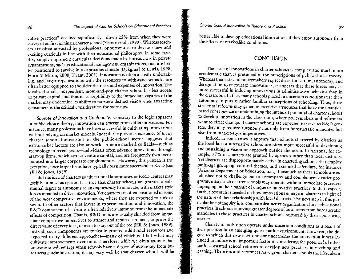vative practices" declined significantly-down 25% from when they were surveyed on first joining a charter school (Khouri et al., 1999). Whereas teachers are often attracted by professional opportunities to develop new and exciting curricula in line with their educational philosophy, in some cases they simply implement curricular decisions made by bureaucrats in private organizations, such as educational management organizations, that are better positioned to survive in a capricious climate (Dykgraaf & Lewis, 1998; Horn & Miron, 2000; Triant, 2001). Innovation is often a costly undertaking, and larger organizations with the resources to withstand setbacks are often better equipped to shoulder the risks and expenses of innovation. The idealized small, independent, mom-and-pop charter school has less access to private capital, and thus its susceptibility to the immediate vagaries of the market may undermine its ability to pursue a distinct vision when attracting consumers is the critical consideration for start-ups.

Sources of Innovation and Conformity. Contrary to the logic apparent in public-choice theory, innovation can emerge from different sources. For instance, many professions have been successful in cultivating innovations without relying on market models. Indeed, the previous existence of many charter school innovations in the puhlic-school sector suggests that extramarket factors are also at work. In more marketlike fields-such as technology in recent years-individuals often advance innovations through start-up firms, which attract venture capital, and are frequently then incorporated into larger corporate conglomerates. However, this pattern is the exception, since larger firms have typically been more successful at R&D (see Hill & Jones, 1989).

But the idea of charters as educational laboratories or R&D centers may itself he a misconception. It is true that charter schools are granted a suhstantial degree of autonomy as an opportunity to innovate, with market-style forces intended to drive innovation. Yet charters are often positioned in some of the most competitive environments, where they are expected to sink or swim. In other sectors that invest in experimentation and innovation, the R&D component of a firm is often relatively immune from the immediate effects of competition. That is, R&D units are usually shielded from immediate competitive imperatives to attract and retain customers, to prove the direct value of every idea, or even to stay out of the red (Hill & Jones, 1989). Instead, such components are typically granted additional resources and expected to try different approaches-many of which will fail-that may cultivate improvements over time. Therefore, while we often assume that innovation will emerge when schools have a degree of autonomy from bureaucratic administration, it may very well he that charter schools will he

better able to develop educational innovations if they enjoy autonomy from the effects of marketlike conditions.

# **CONCLUSION**

The issue of innovations in charter schools is complex and much more problematic than is presumed in the prescriptions of public-choice theory. Whereas theorists and policymakers expect decentralization, autonomy, and deregulation to encourage innovations, it appears that these forces may be more successful in inducing innovations in administrative behavior than in the classroom. In fact, many schools placed in uncertain conditions use their autonomy to pursue rather familiar conceptions of schooling. Thus, these structural reforms may generate incentive structures that have the unanticipated consequence of undermining the intended potential of charter schools to develop innovation in the classroom, where policymakers and reformers want to effect change. If charter schools are expected to serve as R&D centers, they may require autonomy not only from bureaucratic mandates but also from market-style imperatives.

Indeed, in some cases it appears that schools chartered by districts as the local lab or alternative school are often more successful in developing and sustaining a vision or approach outside the norm. In Arizona, for example, 77% of charters are granted by agencies other than local districts. Yet districts are disproportionately active in chartering schools that employ multi-age grouping, cultural themes, and extended calendars, for instance (Arizona Departmeni of Education, n.d.). Inasmuch as these schools are established not to challenge hut to accompany and complement district programs, many such charter schools may operate without immediate pressures impinging on their pursuit of unique or innovative practices. In that respect, further research is needed on how innovations emerge in charters in light of the nature of their relationship with local districts. The next step in this particular line of inquiry is to compare distinctive organizational and educational practices in schools enjoying greater degrees of autonomy from bureaucratic mandates to those practices in charter schools nurtured by their sponsoring<br>district.

Charter schools often operate under uncertain conditions as a result of their position in an emerging quasi-market environment. However, the degree to which this new environment undermines the innovation it was intended to induce is an important factor in considering the potential of other market-oriented school reforms to develop new practices in teaching and learning. Theorists and reformers have given charter schools the Herculean

Ĩ.